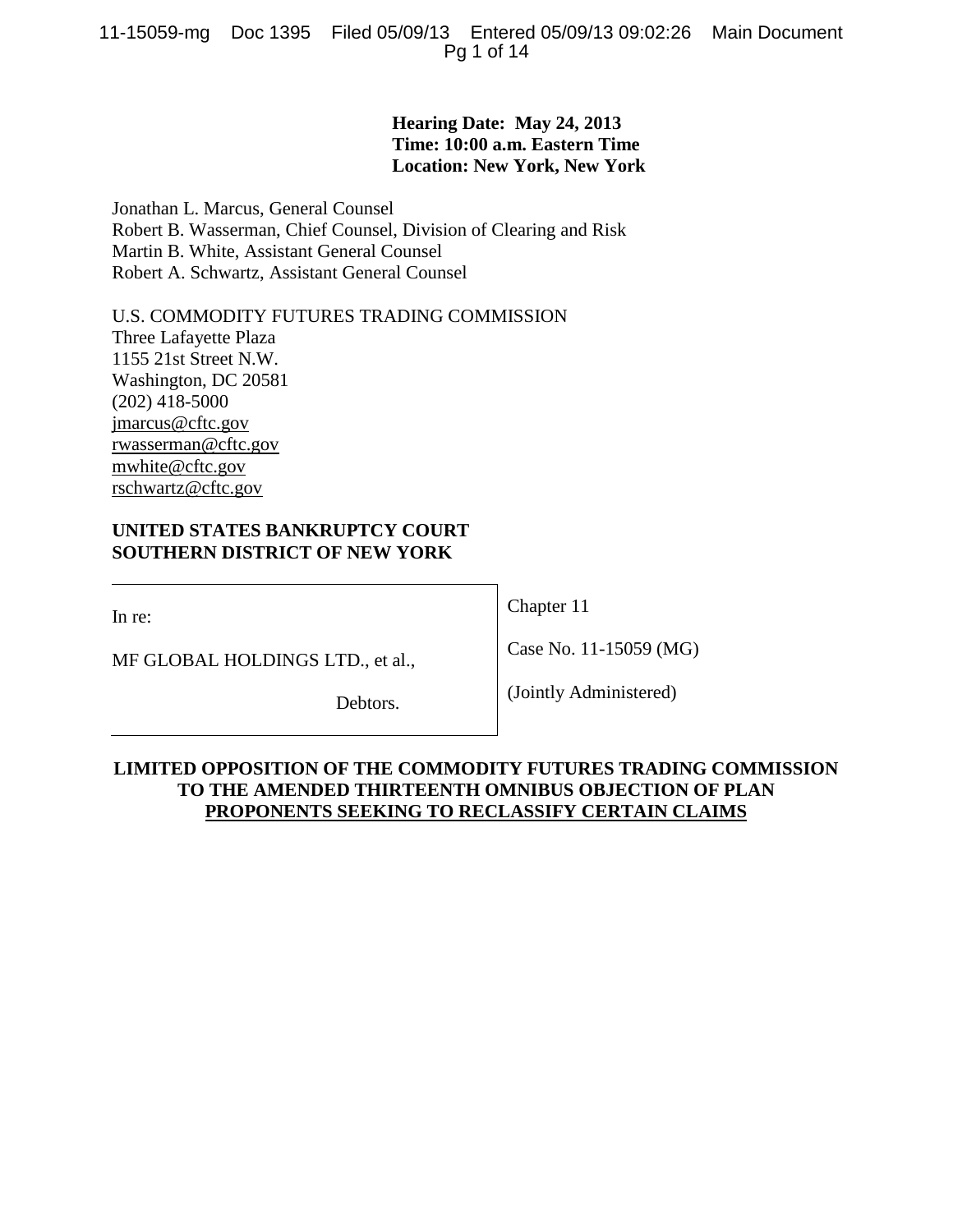## **Hearing Date: May 24, 2013 Time: 10:00 a.m. Eastern Time Location: New York, New York**

Jonathan L. Marcus, General Counsel Robert B. Wasserman, Chief Counsel, Division of Clearing and Risk Martin B. White, Assistant General Counsel Robert A. Schwartz, Assistant General Counsel

U.S. COMMODITY FUTURES TRADING COMMISSION Three Lafayette Plaza 1155 21st Street N.W. Washington, DC 20581 (202) 418-5000 jmarcus@cftc.gov rwasserman@cftc.gov mwhite@cftc.gov rschwartz@cftc.gov

## **UNITED STATES BANKRUPTCY COURT SOUTHERN DISTRICT OF NEW YORK**

In re:

MF GLOBAL HOLDINGS LTD., et al.,

Debtors.

Chapter 11

Case No. 11-15059 (MG)

(Jointly Administered)

## **LIMITED OPPOSITION OF THE COMMODITY FUTURES TRADING COMMISSION TO THE AMENDED THIRTEENTH OMNIBUS OBJECTION OF PLAN PROPONENTS SEEKING TO RECLASSIFY CERTAIN CLAIMS**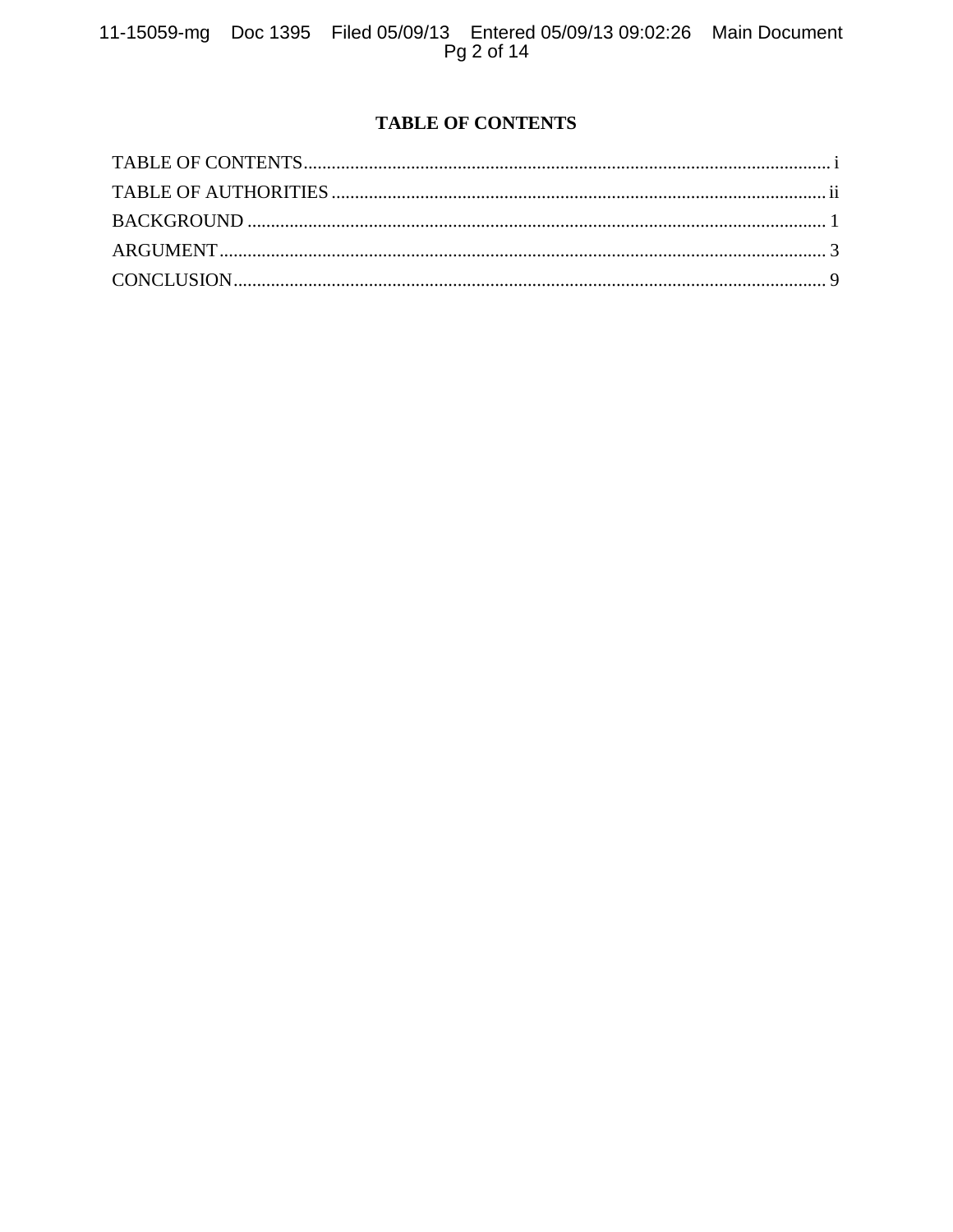# **TABLE OF CONTENTS**

<span id="page-1-1"></span><span id="page-1-0"></span>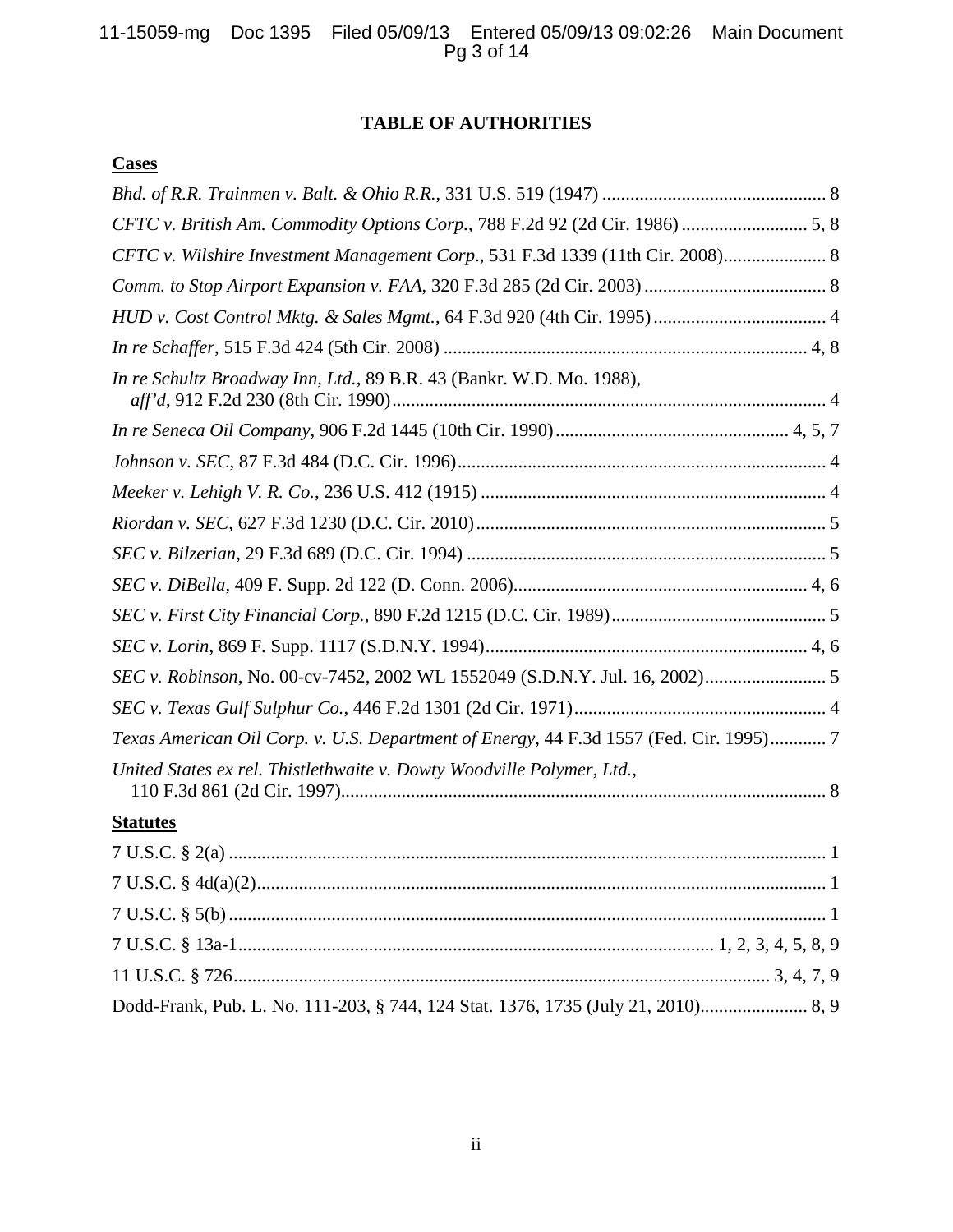# **TABLE OF AUTHORITIES**

## **Cases**

| CFTC v. British Am. Commodity Options Corp., 788 F.2d 92 (2d Cir. 1986)  5, 8          |
|----------------------------------------------------------------------------------------|
| CFTC v. Wilshire Investment Management Corp., 531 F.3d 1339 (11th Cir. 2008) 8         |
|                                                                                        |
|                                                                                        |
|                                                                                        |
| In re Schultz Broadway Inn, Ltd., 89 B.R. 43 (Bankr. W.D. Mo. 1988),                   |
|                                                                                        |
|                                                                                        |
|                                                                                        |
|                                                                                        |
|                                                                                        |
|                                                                                        |
|                                                                                        |
|                                                                                        |
|                                                                                        |
|                                                                                        |
| Texas American Oil Corp. v. U.S. Department of Energy, 44 F.3d 1557 (Fed. Cir. 1995) 7 |
| United States ex rel. Thistlethwaite v. Dowty Woodville Polymer, Ltd.,                 |
| <b>Statutes</b>                                                                        |
|                                                                                        |
|                                                                                        |
|                                                                                        |
|                                                                                        |
|                                                                                        |
|                                                                                        |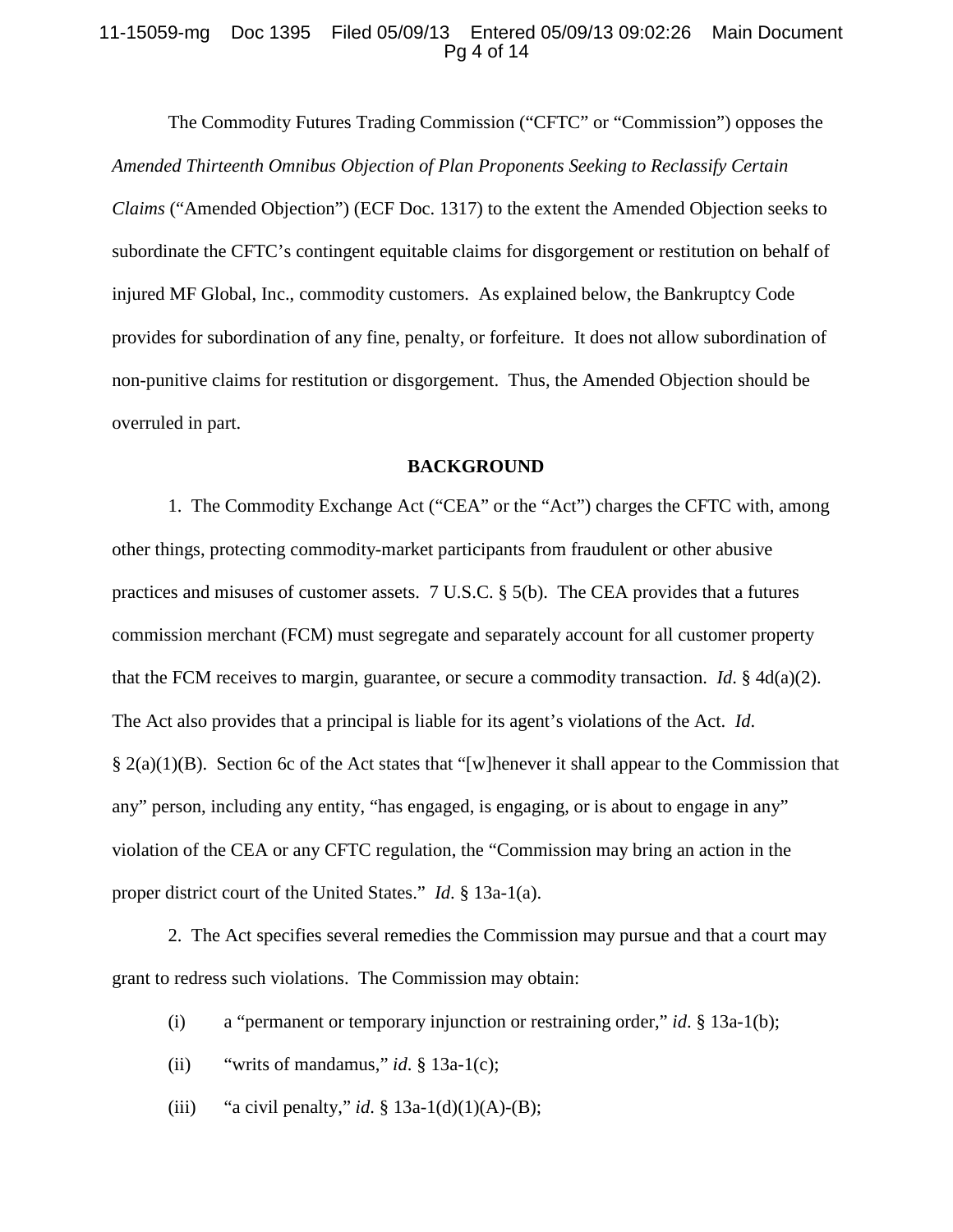## 11-15059-mg Doc 1395 Filed 05/09/13 Entered 05/09/13 09:02:26 Main Document Pg 4 of 14

The Commodity Futures Trading Commission ("CFTC" or "Commission") opposes the *Amended Thirteenth Omnibus Objection of Plan Proponents Seeking to Reclassify Certain Claims* ("Amended Objection") (ECF Doc. 1317) to the extent the Amended Objection seeks to subordinate the CFTC's contingent equitable claims for disgorgement or restitution on behalf of injured MF Global, Inc., commodity customers. As explained below, the Bankruptcy Code provides for subordination of any fine, penalty, or forfeiture. It does not allow subordination of non-punitive claims for restitution or disgorgement. Thus, the Amended Objection should be overruled in part.

#### **BACKGROUND**

<span id="page-3-0"></span>1. The Commodity Exchange Act ("CEA" or the "Act") charges the CFTC with, among other things, protecting commodity-market participants from fraudulent or other abusive practices and misuses of customer assets. 7 U.S.C. § 5(b). The CEA provides that a futures commission merchant (FCM) must segregate and separately account for all customer property that the FCM receives to margin, guarantee, or secure a commodity transaction. *Id*. § 4d(a)(2). The Act also provides that a principal is liable for its agent's violations of the Act. *Id*.  $\S 2(a)(1)(B)$ . Section 6c of the Act states that "[w]henever it shall appear to the Commission that any" person, including any entity, "has engaged, is engaging, or is about to engage in any" violation of the CEA or any CFTC regulation, the "Commission may bring an action in the proper district court of the United States." *Id*. § 13a-1(a).

2. The Act specifies several remedies the Commission may pursue and that a court may grant to redress such violations. The Commission may obtain:

- (i) a "permanent or temporary injunction or restraining order," *id*. § 13a-1(b);
- (ii) "writs of mandamus," *id*.  $\S$  13a-1(c);
- (iii) "a civil penalty," *id*. §  $13a-1(d)(1)(A)-(B)$ ;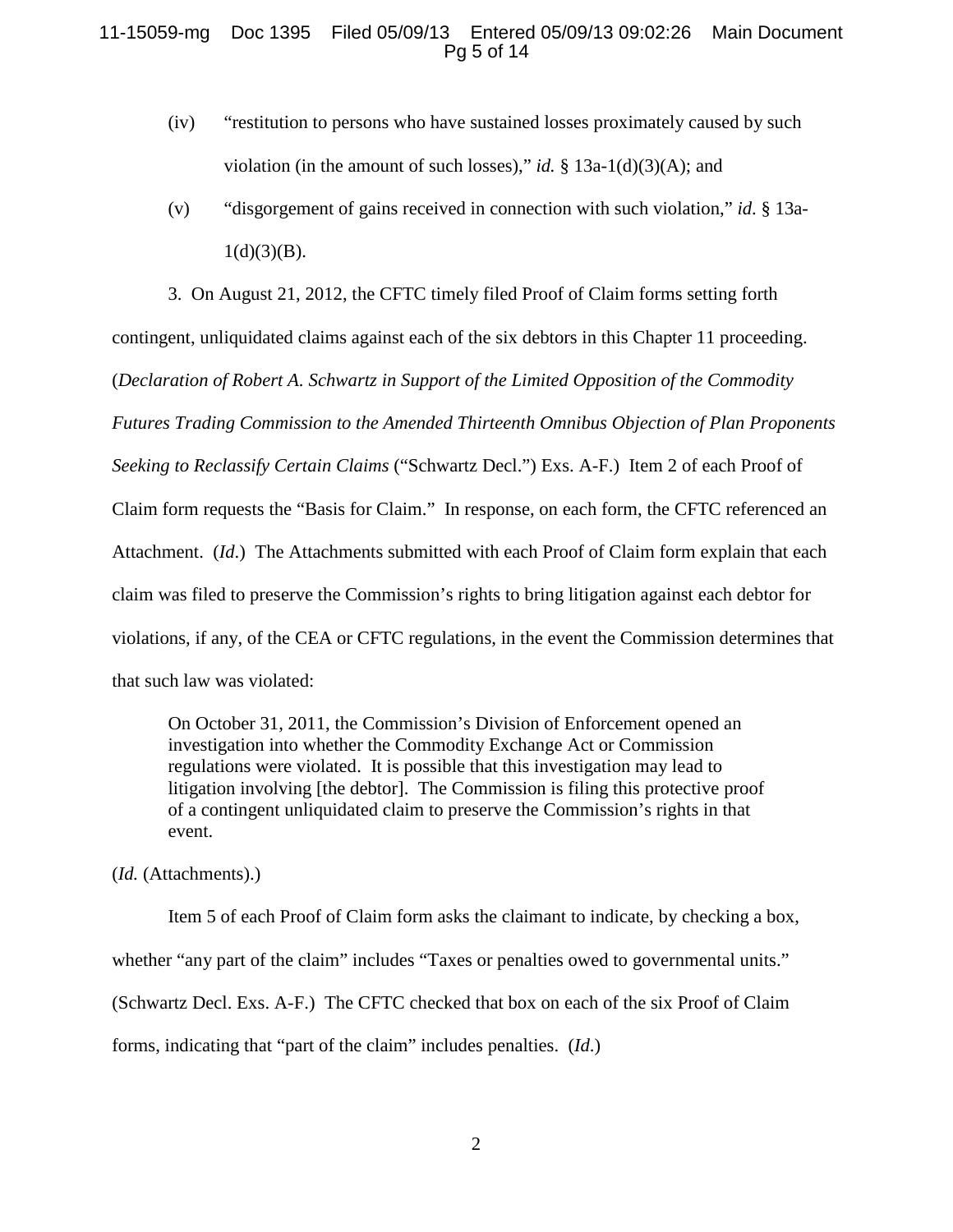## 11-15059-mg Doc 1395 Filed 05/09/13 Entered 05/09/13 09:02:26 Main Document Pg 5 of 14

- (iv) "restitution to persons who have sustained losses proximately caused by such violation (in the amount of such losses)," *id.*  $\S$  13a-1(d)(3)(A); and
- (v) "disgorgement of gains received in connection with such violation," *id*. § 13a- $1(d)(3)(B)$ .

3. On August 21, 2012, the CFTC timely filed Proof of Claim forms setting forth

contingent, unliquidated claims against each of the six debtors in this Chapter 11 proceeding.

(*Declaration of Robert A. Schwartz in Support of the Limited Opposition of the Commodity* 

*Futures Trading Commission to the Amended Thirteenth Omnibus Objection of Plan Proponents Seeking to Reclassify Certain Claims* ("Schwartz Decl.") Exs. A-F.) Item 2 of each Proof of Claim form requests the "Basis for Claim." In response, on each form, the CFTC referenced an Attachment. (*Id*.) The Attachments submitted with each Proof of Claim form explain that each claim was filed to preserve the Commission's rights to bring litigation against each debtor for violations, if any, of the CEA or CFTC regulations, in the event the Commission determines that that such law was violated:

On October 31, 2011, the Commission's Division of Enforcement opened an investigation into whether the Commodity Exchange Act or Commission regulations were violated. It is possible that this investigation may lead to litigation involving [the debtor]. The Commission is filing this protective proof of a contingent unliquidated claim to preserve the Commission's rights in that event.

(*Id.* (Attachments).)

Item 5 of each Proof of Claim form asks the claimant to indicate, by checking a box, whether "any part of the claim" includes "Taxes or penalties owed to governmental units." (Schwartz Decl. Exs. A-F.) The CFTC checked that box on each of the six Proof of Claim forms, indicating that "part of the claim" includes penalties. (*Id*.)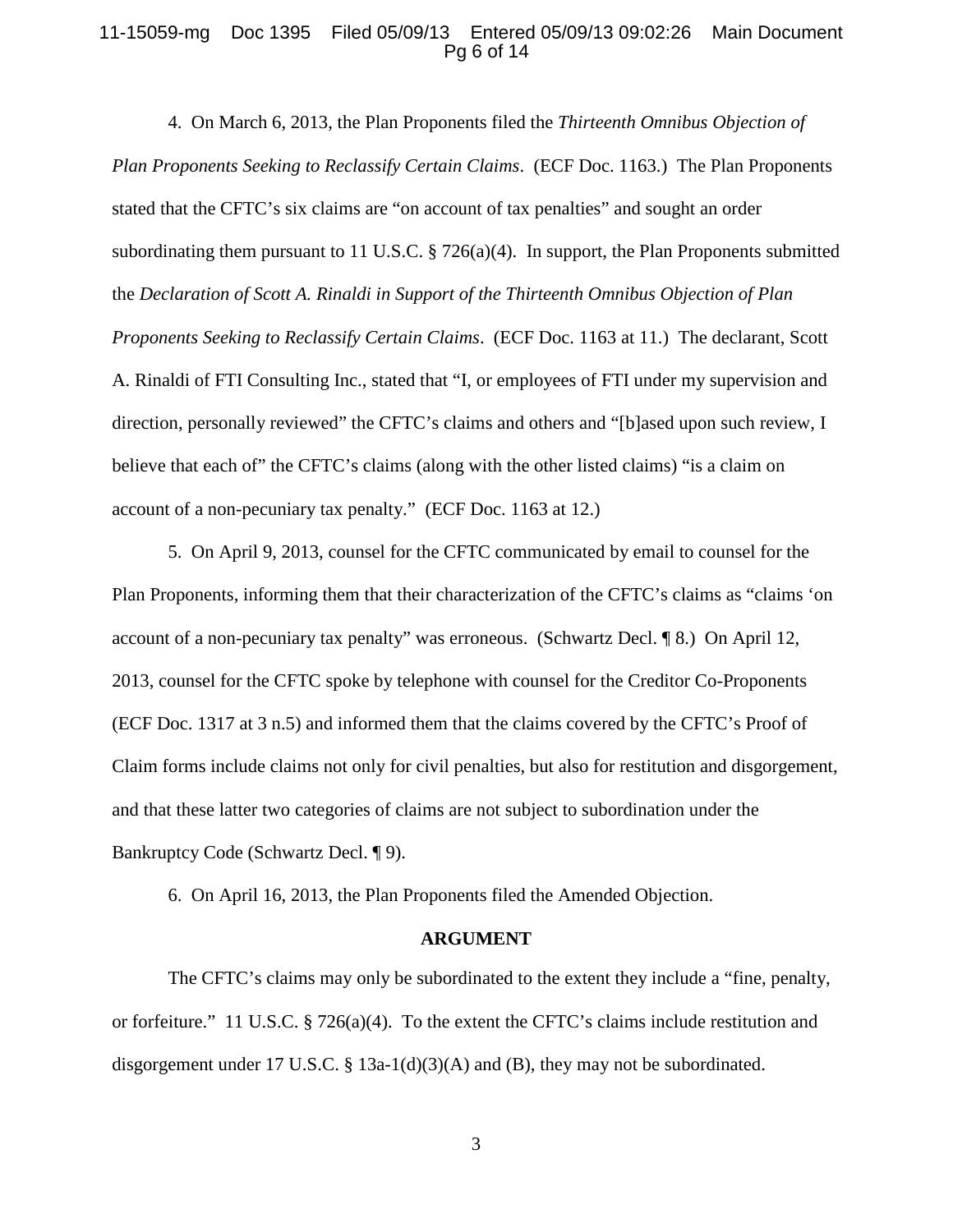## 11-15059-mg Doc 1395 Filed 05/09/13 Entered 05/09/13 09:02:26 Main Document Pg 6 of 14

4. On March 6, 2013, the Plan Proponents filed the *Thirteenth Omnibus Objection of Plan Proponents Seeking to Reclassify Certain Claims*. (ECF Doc. 1163.) The Plan Proponents stated that the CFTC's six claims are "on account of tax penalties" and sought an order subordinating them pursuant to 11 U.S.C. § 726(a)(4). In support, the Plan Proponents submitted the *Declaration of Scott A. Rinaldi in Support of the Thirteenth Omnibus Objection of Plan Proponents Seeking to Reclassify Certain Claims*. (ECF Doc. 1163 at 11.) The declarant, Scott A. Rinaldi of FTI Consulting Inc., stated that "I, or employees of FTI under my supervision and direction, personally reviewed" the CFTC's claims and others and "[b]ased upon such review, I believe that each of" the CFTC's claims (along with the other listed claims) "is a claim on account of a non-pecuniary tax penalty." (ECF Doc. 1163 at 12.)

5. On April 9, 2013, counsel for the CFTC communicated by email to counsel for the Plan Proponents, informing them that their characterization of the CFTC's claims as "claims 'on account of a non-pecuniary tax penalty" was erroneous. (Schwartz Decl. ¶ 8.) On April 12, 2013, counsel for the CFTC spoke by telephone with counsel for the Creditor Co-Proponents (ECF Doc. 1317 at 3 n.5) and informed them that the claims covered by the CFTC's Proof of Claim forms include claims not only for civil penalties, but also for restitution and disgorgement, and that these latter two categories of claims are not subject to subordination under the Bankruptcy Code (Schwartz Decl. ¶ 9).

6. On April 16, 2013, the Plan Proponents filed the Amended Objection.

#### **ARGUMENT**

<span id="page-5-0"></span>The CFTC's claims may only be subordinated to the extent they include a "fine, penalty, or forfeiture." 11 U.S.C. § 726(a)(4). To the extent the CFTC's claims include restitution and disgorgement under 17 U.S.C. § 13a-1(d)(3)(A) and (B), they may not be subordinated.

3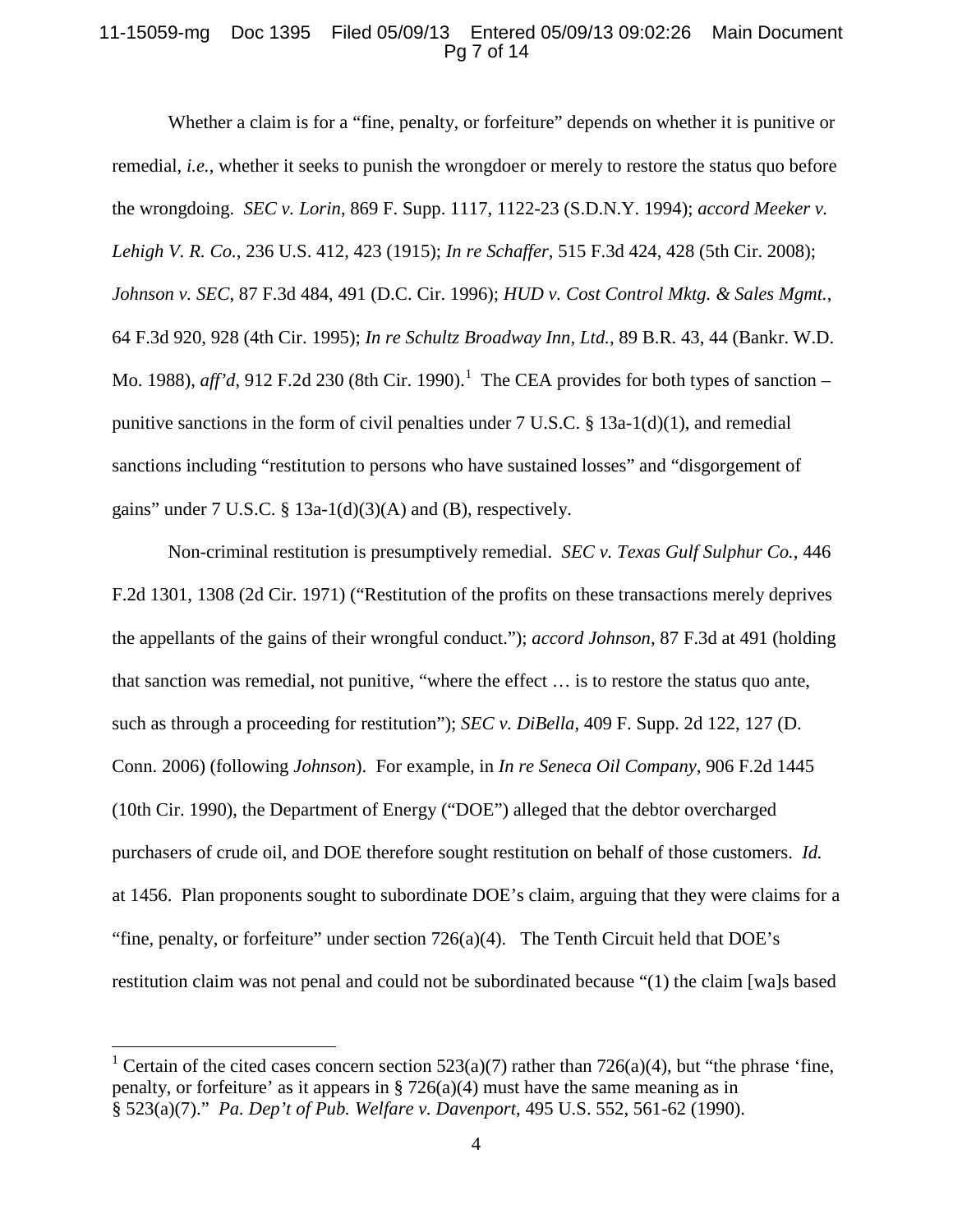## 11-15059-mg Doc 1395 Filed 05/09/13 Entered 05/09/13 09:02:26 Main Document Pg 7 of 14

Whether a claim is for a "fine, penalty, or forfeiture" depends on whether it is punitive or remedial, *i.e.*, whether it seeks to punish the wrongdoer or merely to restore the status quo before the wrongdoing. *SEC v. Lorin*, 869 F. Supp. 1117, 1122-23 (S.D.N.Y. 1994); *accord Meeker v. Lehigh V. R. Co.*, 236 U.S. 412, 423 (1915); *In re Schaffer*, 515 F.3d 424, 428 (5th Cir. 2008); *Johnson v. SEC*, 87 F.3d 484, 491 (D.C. Cir. 1996); *HUD v. Cost Control Mktg. & Sales Mgmt.*, 64 F.3d 920, 928 (4th Cir. 1995); *In re Schultz Broadway Inn, Ltd.*, 89 B.R. 43, 44 (Bankr. W.D. Mo. 1988), *aff'd*, 912 F.2d 230 (8th Cir. 1990). [1](#page-6-0) The CEA provides for both types of sanction – punitive sanctions in the form of civil penalties under  $7 \text{ U.S.C. }$  § 13a-1(d)(1), and remedial sanctions including "restitution to persons who have sustained losses" and "disgorgement of gains" under  $7 \text{ U.S.C. }$  §  $13a-1(d)(3)(A)$  and (B), respectively.

Non-criminal restitution is presumptively remedial. *SEC v. Texas Gulf Sulphur Co.*, 446 F.2d 1301, 1308 (2d Cir. 1971) ("Restitution of the profits on these transactions merely deprives the appellants of the gains of their wrongful conduct."); *accord Johnson*, 87 F.3d at 491 (holding that sanction was remedial, not punitive, "where the effect … is to restore the status quo ante, such as through a proceeding for restitution"); *SEC v. DiBella*, 409 F. Supp. 2d 122, 127 (D. Conn. 2006) (following *Johnson*). For example, in *In re Seneca Oil Company*, 906 F.2d 1445 (10th Cir. 1990), the Department of Energy ("DOE") alleged that the debtor overcharged purchasers of crude oil, and DOE therefore sought restitution on behalf of those customers. *Id.*  at 1456. Plan proponents sought to subordinate DOE's claim, arguing that they were claims for a "fine, penalty, or forfeiture" under section  $726(a)(4)$ . The Tenth Circuit held that DOE's restitution claim was not penal and could not be subordinated because "(1) the claim [wa]s based

<span id="page-6-0"></span><sup>&</sup>lt;sup>1</sup> Certain of the cited cases concern section 523(a)(7) rather than 726(a)(4), but "the phrase 'fine, penalty, or forfeiture' as it appears in § 726(a)(4) must have the same meaning as in § 523(a)(7)." *Pa. Dep't of Pub. Welfare v. Davenport*, 495 U.S. 552, 561-62 (1990).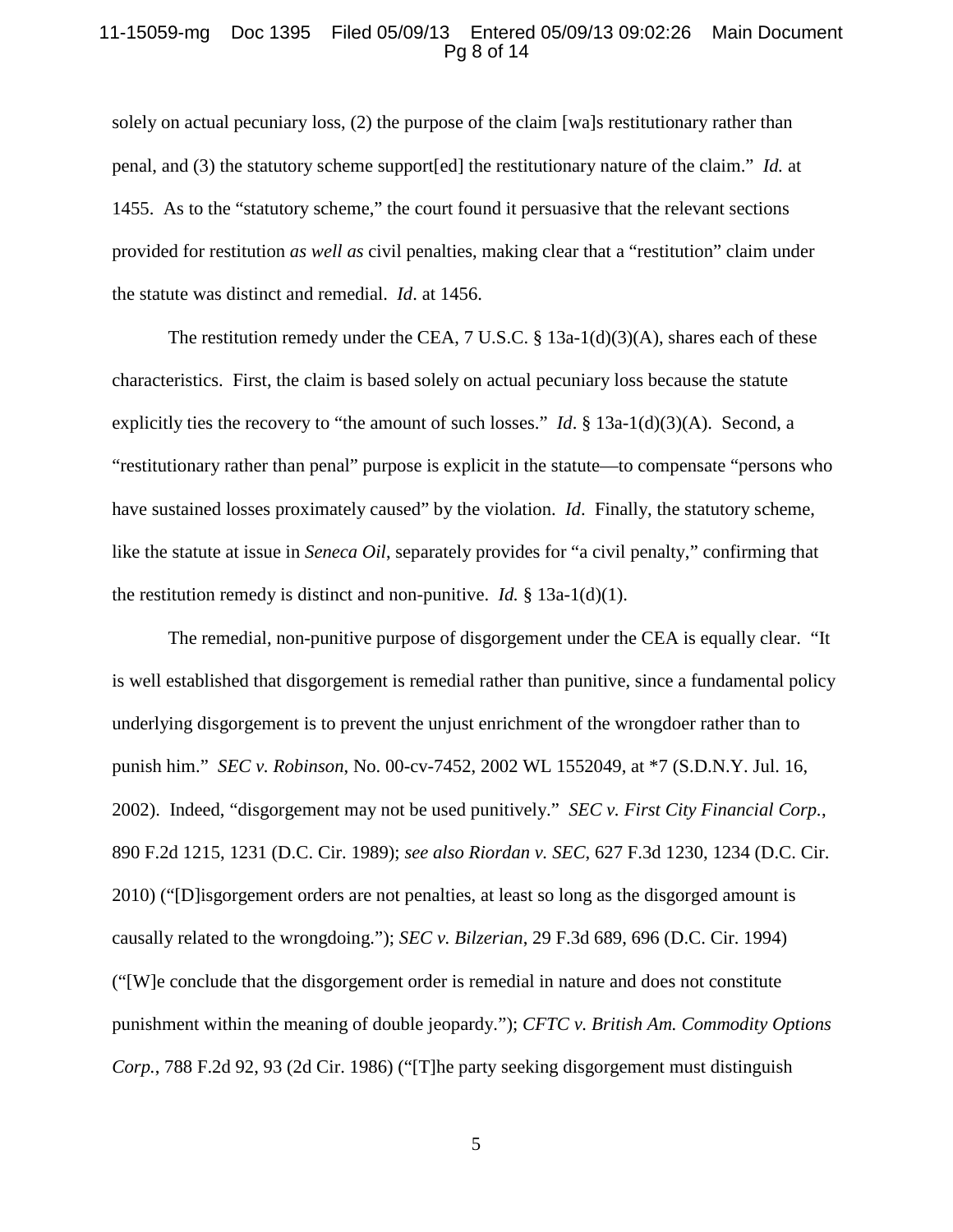### 11-15059-mg Doc 1395 Filed 05/09/13 Entered 05/09/13 09:02:26 Main Document Pg 8 of 14

solely on actual pecuniary loss, (2) the purpose of the claim [wa]s restitutionary rather than penal, and (3) the statutory scheme support[ed] the restitutionary nature of the claim." *Id.* at 1455. As to the "statutory scheme," the court found it persuasive that the relevant sections provided for restitution *as well as* civil penalties, making clear that a "restitution" claim under the statute was distinct and remedial. *Id*. at 1456.

The restitution remedy under the CEA, 7 U.S.C. § 13a-1(d)(3)(A), shares each of these characteristics. First, the claim is based solely on actual pecuniary loss because the statute explicitly ties the recovery to "the amount of such losses." *Id*. § 13a-1(d)(3)(A). Second, a "restitutionary rather than penal" purpose is explicit in the statute—to compensate "persons who have sustained losses proximately caused" by the violation. *Id*. Finally, the statutory scheme, like the statute at issue in *Seneca Oil*, separately provides for "a civil penalty," confirming that the restitution remedy is distinct and non-punitive. *Id.*  $\S$  13a-1(d)(1).

The remedial, non-punitive purpose of disgorgement under the CEA is equally clear. "It is well established that disgorgement is remedial rather than punitive, since a fundamental policy underlying disgorgement is to prevent the unjust enrichment of the wrongdoer rather than to punish him." *SEC v. Robinson*, No. 00-cv-7452, 2002 WL 1552049, at \*7 (S.D.N.Y. Jul. 16, 2002). Indeed, "disgorgement may not be used punitively." *SEC v. First City Financial Corp.*, 890 F.2d 1215, 1231 (D.C. Cir. 1989); *see also Riordan v. SEC*, 627 F.3d 1230, 1234 (D.C. Cir. 2010) ("[D]isgorgement orders are not penalties, at least so long as the disgorged amount is causally related to the wrongdoing."); *SEC v. Bilzerian*, 29 F.3d 689, 696 (D.C. Cir. 1994) ("[W]e conclude that the disgorgement order is remedial in nature and does not constitute punishment within the meaning of double jeopardy."); *CFTC v. British Am. Commodity Options Corp.*, 788 F.2d 92, 93 (2d Cir. 1986) ("[T]he party seeking disgorgement must distinguish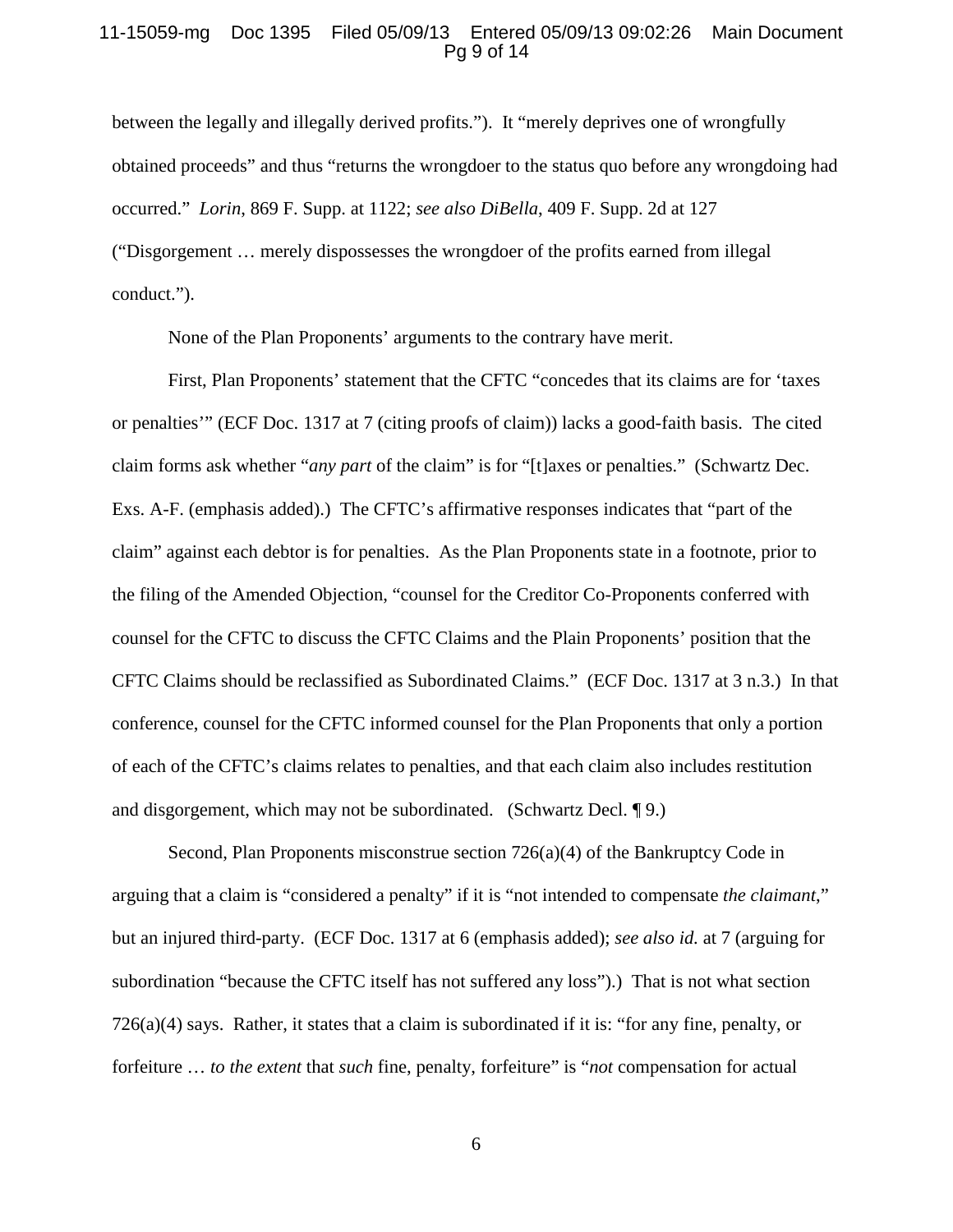### 11-15059-mg Doc 1395 Filed 05/09/13 Entered 05/09/13 09:02:26 Main Document Pg 9 of 14

between the legally and illegally derived profits."). It "merely deprives one of wrongfully obtained proceeds" and thus "returns the wrongdoer to the status quo before any wrongdoing had occurred." *Lorin*, 869 F. Supp. at 1122; *see also DiBella*, 409 F. Supp. 2d at 127 ("Disgorgement … merely dispossesses the wrongdoer of the profits earned from illegal conduct.").

None of the Plan Proponents' arguments to the contrary have merit.

First, Plan Proponents' statement that the CFTC "concedes that its claims are for 'taxes or penalties'" (ECF Doc. 1317 at 7 (citing proofs of claim)) lacks a good-faith basis. The cited claim forms ask whether "*any part* of the claim" is for "[t]axes or penalties." (Schwartz Dec. Exs. A-F. (emphasis added).) The CFTC's affirmative responses indicates that "part of the claim" against each debtor is for penalties. As the Plan Proponents state in a footnote, prior to the filing of the Amended Objection, "counsel for the Creditor Co-Proponents conferred with counsel for the CFTC to discuss the CFTC Claims and the Plain Proponents' position that the CFTC Claims should be reclassified as Subordinated Claims." (ECF Doc. 1317 at 3 n.3.) In that conference, counsel for the CFTC informed counsel for the Plan Proponents that only a portion of each of the CFTC's claims relates to penalties, and that each claim also includes restitution and disgorgement, which may not be subordinated. (Schwartz Decl. ¶ 9.)

Second, Plan Proponents misconstrue section  $726(a)(4)$  of the Bankruptcy Code in arguing that a claim is "considered a penalty" if it is "not intended to compensate *the claimant*," but an injured third-party. (ECF Doc. 1317 at 6 (emphasis added); *see also id.* at 7 (arguing for subordination "because the CFTC itself has not suffered any loss").) That is not what section 726(a)(4) says. Rather, it states that a claim is subordinated if it is: "for any fine, penalty, or forfeiture … *to the extent* that *such* fine, penalty, forfeiture" is "*not* compensation for actual

6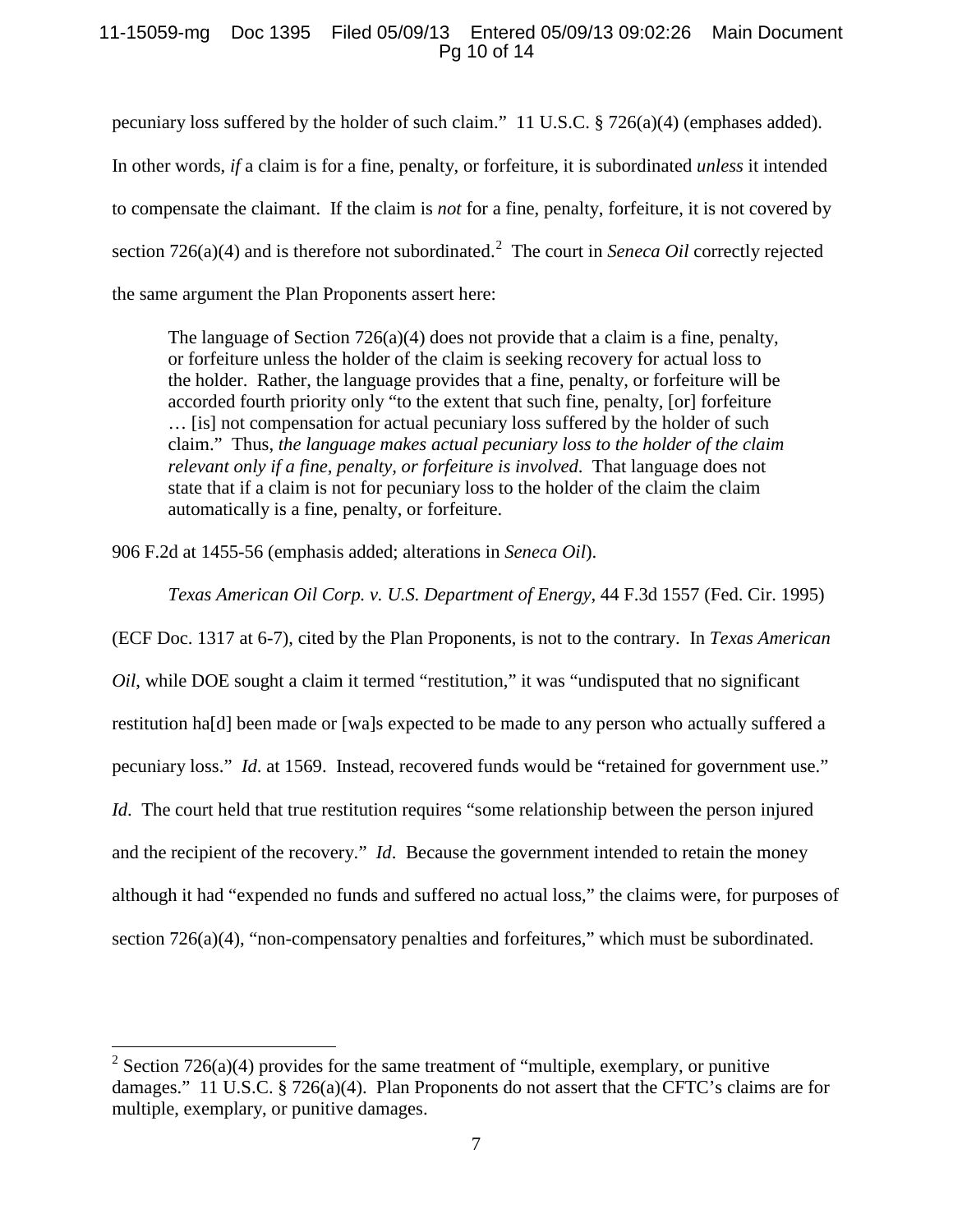## 11-15059-mg Doc 1395 Filed 05/09/13 Entered 05/09/13 09:02:26 Main Document Pg 10 of 14

pecuniary loss suffered by the holder of such claim." 11 U.S.C. § 726(a)(4) (emphases added). In other words, *if* a claim is for a fine, penalty, or forfeiture, it is subordinated *unless* it intended to compensate the claimant. If the claim is *not* for a fine, penalty, forfeiture, it is not covered by section 7[2](#page-9-0)6(a)(4) and is therefore not subordinated.<sup>2</sup> The court in *Seneca Oil* correctly rejected the same argument the Plan Proponents assert here:

The language of Section 726(a)(4) does not provide that a claim is a fine, penalty, or forfeiture unless the holder of the claim is seeking recovery for actual loss to the holder. Rather, the language provides that a fine, penalty, or forfeiture will be accorded fourth priority only "to the extent that such fine, penalty, [or] forfeiture … [is] not compensation for actual pecuniary loss suffered by the holder of such claim." Thus, *the language makes actual pecuniary loss to the holder of the claim relevant only if a fine, penalty, or forfeiture is involved*. That language does not state that if a claim is not for pecuniary loss to the holder of the claim the claim automatically is a fine, penalty, or forfeiture.

906 F.2d at 1455-56 (emphasis added; alterations in *Seneca Oil*).

*Texas American Oil Corp. v. U.S. Department of Energy*, 44 F.3d 1557 (Fed. Cir. 1995)

(ECF Doc. 1317 at 6-7), cited by the Plan Proponents, is not to the contrary. In *Texas American Oil*, while DOE sought a claim it termed "restitution," it was "undisputed that no significant restitution ha[d] been made or [wa]s expected to be made to any person who actually suffered a pecuniary loss." *Id*. at 1569. Instead, recovered funds would be "retained for government use." *Id.* The court held that true restitution requires "some relationship between the person injured and the recipient of the recovery." *Id*. Because the government intended to retain the money although it had "expended no funds and suffered no actual loss," the claims were, for purposes of section 726(a)(4), "non-compensatory penalties and forfeitures," which must be subordinated.

<span id="page-9-0"></span><sup>&</sup>lt;sup>2</sup> Section 726(a)(4) provides for the same treatment of "multiple, exemplary, or punitive damages." 11 U.S.C. § 726(a)(4). Plan Proponents do not assert that the CFTC's claims are for multiple, exemplary, or punitive damages.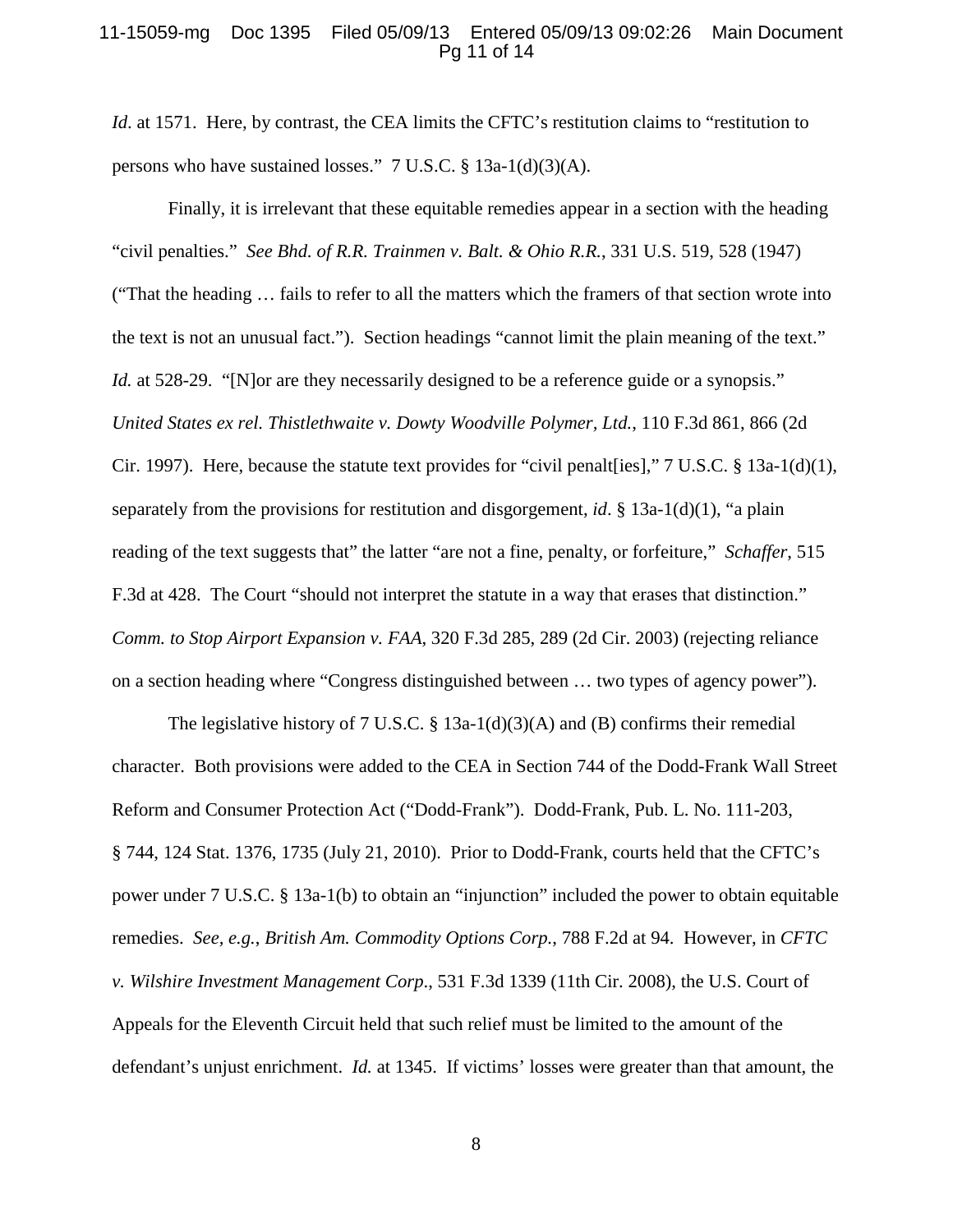### 11-15059-mg Doc 1395 Filed 05/09/13 Entered 05/09/13 09:02:26 Main Document Pg 11 of 14

*Id.* at 1571. Here, by contrast, the CEA limits the CFTC's restitution claims to "restitution to persons who have sustained losses." 7 U.S.C. § 13a-1(d)(3)(A).

Finally, it is irrelevant that these equitable remedies appear in a section with the heading "civil penalties." *See Bhd. of R.R. Trainmen v. Balt. & Ohio R.R.*, 331 U.S. 519, 528 (1947) ("That the heading … fails to refer to all the matters which the framers of that section wrote into the text is not an unusual fact."). Section headings "cannot limit the plain meaning of the text." *Id.* at 528-29. "[N]or are they necessarily designed to be a reference guide or a synopsis." *United States ex rel. Thistlethwaite v. Dowty Woodville Polymer, Ltd.*, 110 F.3d 861, 866 (2d Cir. 1997). Here, because the statute text provides for "civil penalt[ies]," 7 U.S.C. § 13a-1(d)(1), separately from the provisions for restitution and disgorgement, *id*. § 13a-1(d)(1), "a plain reading of the text suggests that" the latter "are not a fine, penalty, or forfeiture," *Schaffer*, 515 F.3d at 428. The Court "should not interpret the statute in a way that erases that distinction." *Comm. to Stop Airport Expansion v. FAA*, 320 F.3d 285, 289 (2d Cir. 2003) (rejecting reliance on a section heading where "Congress distinguished between … two types of agency power").

The legislative history of 7 U.S.C. § 13a-1(d)(3)(A) and (B) confirms their remedial character. Both provisions were added to the CEA in Section 744 of the Dodd-Frank Wall Street Reform and Consumer Protection Act ("Dodd-Frank"). Dodd-Frank, Pub. L. No. 111-203, § 744, 124 Stat. 1376, 1735 (July 21, 2010). Prior to Dodd-Frank, courts held that the CFTC's power under 7 U.S.C. § 13a-1(b) to obtain an "injunction" included the power to obtain equitable remedies. *See, e.g.*, *British Am. Commodity Options Corp.*, 788 F.2d at 94. However, in *CFTC v. Wilshire Investment Management Corp*., 531 F.3d 1339 (11th Cir. 2008), the U.S. Court of Appeals for the Eleventh Circuit held that such relief must be limited to the amount of the defendant's unjust enrichment. *Id.* at 1345. If victims' losses were greater than that amount, the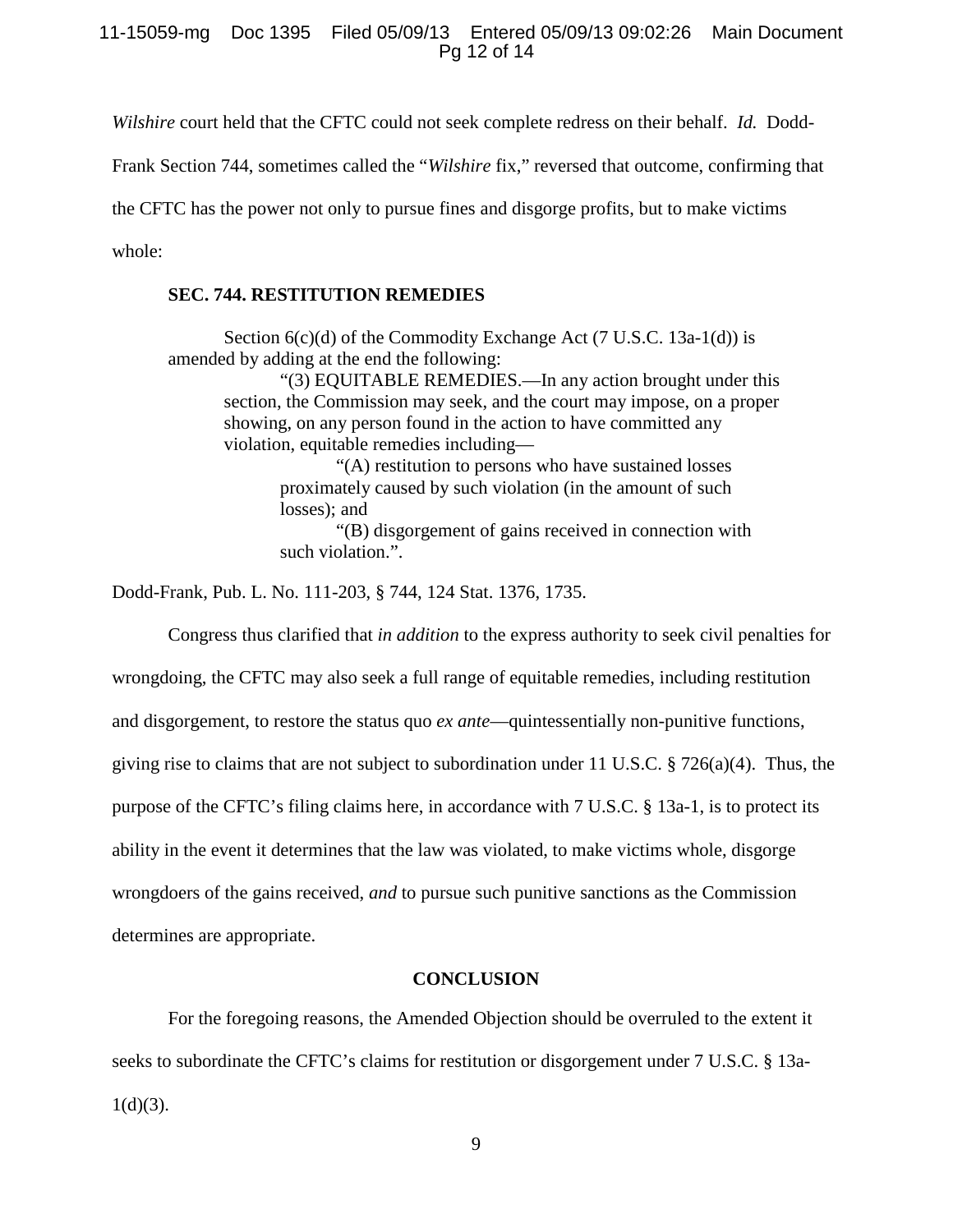11-15059-mg Doc 1395 Filed 05/09/13 Entered 05/09/13 09:02:26 Main Document Pg 12 of 14

*Wilshire* court held that the CFTC could not seek complete redress on their behalf. *Id.* Dodd-

Frank Section 744, sometimes called the "*Wilshire* fix," reversed that outcome, confirming that

the CFTC has the power not only to pursue fines and disgorge profits, but to make victims

whole:

## **SEC. 744. RESTITUTION REMEDIES**

Section 6(c)(d) of the Commodity Exchange Act (7 U.S.C. 13a-1(d)) is amended by adding at the end the following:

"(3) EQUITABLE REMEDIES.—In any action brought under this section, the Commission may seek, and the court may impose, on a proper showing, on any person found in the action to have committed any violation, equitable remedies including—

> "(A) restitution to persons who have sustained losses proximately caused by such violation (in the amount of such losses); and

"(B) disgorgement of gains received in connection with such violation.".

Dodd-Frank, Pub. L. No. 111-203, § 744, 124 Stat. 1376, 1735.

Congress thus clarified that *in addition* to the express authority to seek civil penalties for

wrongdoing, the CFTC may also seek a full range of equitable remedies, including restitution

and disgorgement, to restore the status quo *ex ante*—quintessentially non-punitive functions,

giving rise to claims that are not subject to subordination under 11 U.S.C. § 726(a)(4). Thus, the

purpose of the CFTC's filing claims here, in accordance with 7 U.S.C. § 13a-1, is to protect its

ability in the event it determines that the law was violated, to make victims whole, disgorge

wrongdoers of the gains received, *and* to pursue such punitive sanctions as the Commission

<span id="page-11-0"></span>determines are appropriate.

## **CONCLUSION**

For the foregoing reasons, the Amended Objection should be overruled to the extent it seeks to subordinate the CFTC's claims for restitution or disgorgement under 7 U.S.C. § 13a- $1(d)(3)$ .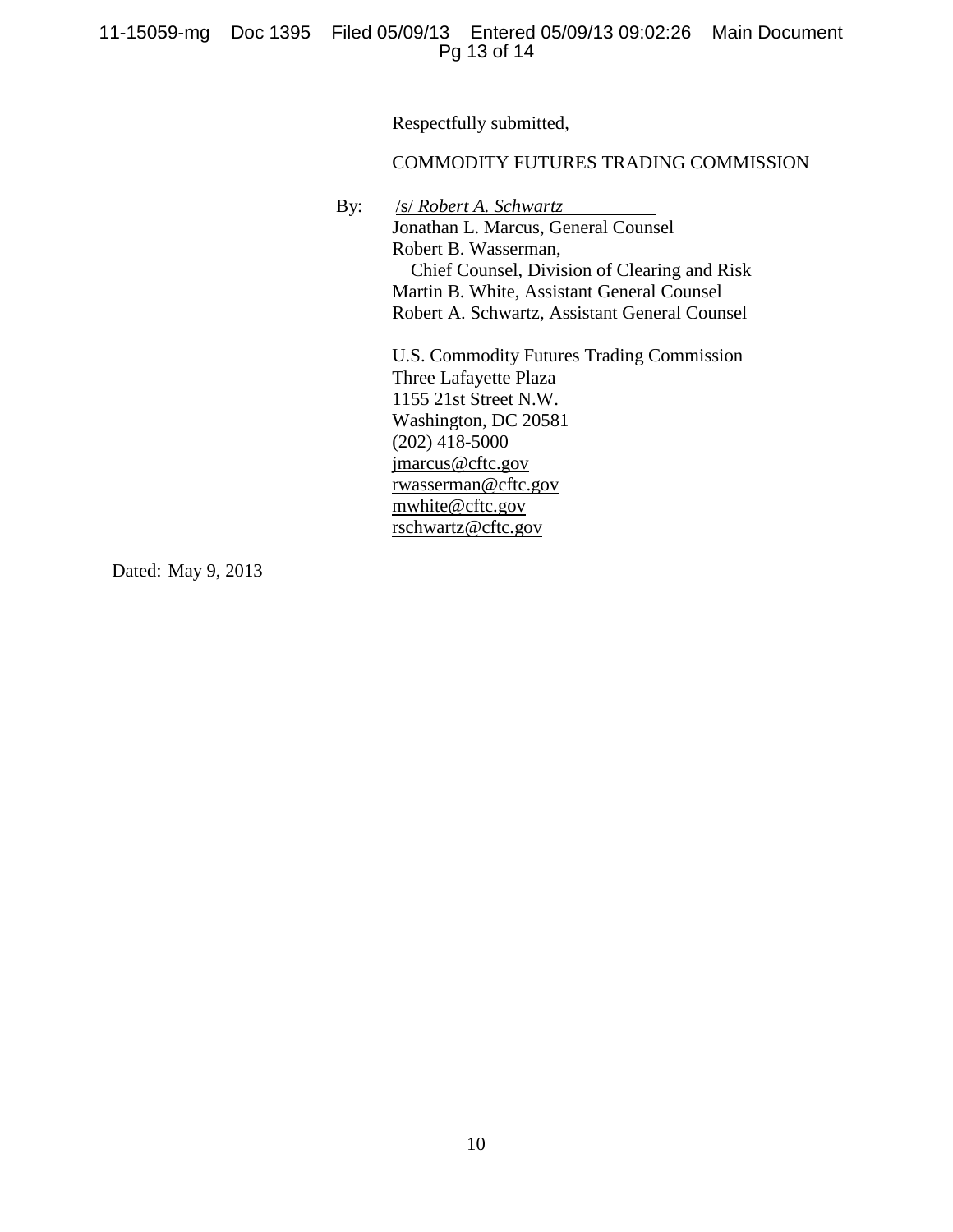Respectfully submitted,

## COMMODITY FUTURES TRADING COMMISSION

By: /s/ *Robert A. Schwartz*

Jonathan L. Marcus, General Counsel Robert B. Wasserman, Chief Counsel, Division of Clearing and Risk Martin B. White, Assistant General Counsel Robert A. Schwartz, Assistant General Counsel

U.S. Commodity Futures Trading Commission Three Lafayette Plaza 1155 21st Street N.W. Washington, DC 20581 (202) 418-5000 jmarcus@cftc.gov rwasserman@cftc.gov mwhite@cftc.gov rschwartz@cftc.gov

Dated: May 9, 2013